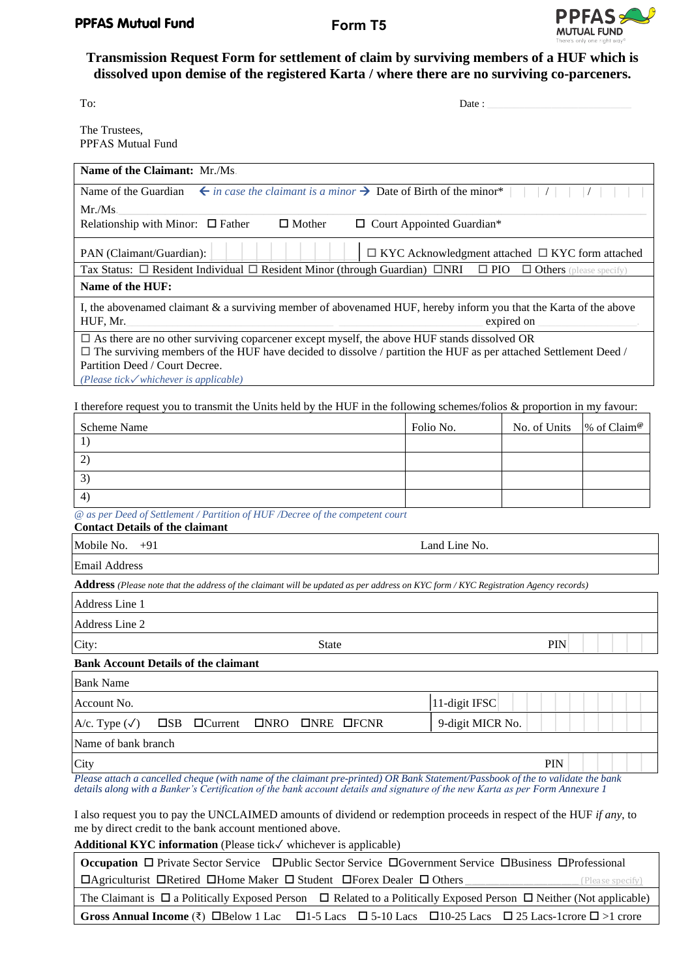

# **Transmission Request Form for settlement of claim by surviving members of a HUF which is dissolved upon demise of the registered Karta / where there are no surviving co-parceners.**

The Trustees, PPFAS Mutual Fund

| To: | Jate |
|-----|------|
|     | .    |

| Name of the Claimant: Mr./Ms.                                                                                                                                                                                                                                                                           |                                                             |                                |                         |
|---------------------------------------------------------------------------------------------------------------------------------------------------------------------------------------------------------------------------------------------------------------------------------------------------------|-------------------------------------------------------------|--------------------------------|-------------------------|
| $\leftarrow$ in case the claimant is a minor $\rightarrow$ Date of Birth of the minor*  <br>Name of the Guardian                                                                                                                                                                                        |                                                             | $\left  \right $               |                         |
| Mr.Ms.                                                                                                                                                                                                                                                                                                  |                                                             |                                |                         |
| Relationship with Minor: $\Box$ Father<br>$\Box$ Mother                                                                                                                                                                                                                                                 | □ Court Appointed Guardian*                                 |                                |                         |
| PAN (Claimant/Guardian):                                                                                                                                                                                                                                                                                | $\Box$ KYC Acknowledgment attached $\Box$ KYC form attached |                                |                         |
| Tax Status: □ Resident Individual □ Resident Minor (through Guardian) □NRI                                                                                                                                                                                                                              | $\Box$ PIO                                                  | $\Box$ Others (please specify) |                         |
| Name of the HUF:                                                                                                                                                                                                                                                                                        |                                                             |                                |                         |
| I, the abovenamed claimant & a surviving member of abovenamed HUF, hereby inform you that the Karta of the above<br>HUF, Mr.<br>expired on                                                                                                                                                              |                                                             |                                |                         |
| $\Box$ As there are no other surviving coparcener except myself, the above HUF stands dissolved OR<br>$\Box$ The surviving members of the HUF have decided to dissolve / partition the HUF as per attached Settlement Deed /<br>Partition Deed / Court Decree.<br>(Please tick√whichever is applicable) |                                                             |                                |                         |
| I therefore request you to transmit the Units held by the HUF in the following schemes/folios $\&$ proportion in my favour:                                                                                                                                                                             |                                                             |                                |                         |
| Scheme Name                                                                                                                                                                                                                                                                                             | Folio No.                                                   | No. of Units                   | % of Claim <sup>®</sup> |
| 1)                                                                                                                                                                                                                                                                                                      |                                                             |                                |                         |
| 2)                                                                                                                                                                                                                                                                                                      |                                                             |                                |                         |
| 3)                                                                                                                                                                                                                                                                                                      |                                                             |                                |                         |
| 4)                                                                                                                                                                                                                                                                                                      |                                                             |                                |                         |
| @ as per Deed of Settlement / Partition of HUF /Decree of the competent court<br><b>Contact Details of the claimant</b>                                                                                                                                                                                 |                                                             |                                |                         |
| Mobile No.<br>$+91$                                                                                                                                                                                                                                                                                     | Land Line No.                                               |                                |                         |
| <b>Email Address</b>                                                                                                                                                                                                                                                                                    |                                                             |                                |                         |
| Address (Please note that the address of the claimant will be updated as per address on KYC form / KYC Registration Agency records)                                                                                                                                                                     |                                                             |                                |                         |
| Address Line 1                                                                                                                                                                                                                                                                                          |                                                             |                                |                         |
| Address Line 2                                                                                                                                                                                                                                                                                          |                                                             |                                |                         |
| City:<br><b>State</b>                                                                                                                                                                                                                                                                                   |                                                             | <b>PIN</b>                     |                         |
| <b>Bank Account Details of the claimant</b>                                                                                                                                                                                                                                                             |                                                             |                                |                         |
| Bank Name                                                                                                                                                                                                                                                                                               |                                                             |                                |                         |
| Account No.                                                                                                                                                                                                                                                                                             | 11-digit IFSC                                               |                                |                         |
| A/c. Type $(\checkmark)$<br>$\square$ SB $\square$ Current<br>$INRO$ ONRE OFCNR                                                                                                                                                                                                                         | 9-digit MICR No.                                            |                                |                         |

Name of bank branch

 $\frac{1}{\text{City}}$  PIN  $\left|\begin{array}{c|c} | & | & | \end{array}\right|$ *Please attach a cancelled cheque (with name of the claimant pre-printed) OR Bank Statement/Passbook of the to validate the bank details along with a Banker's Certification of the bank account details and signature of the new Karta as per Form Annexure 1*

I also request you to pay the UNCLAIMED amounts of dividend or redemption proceeds in respect of the HUF *if any*, to me by direct credit to the bank account mentioned above.

**Additional KYC information** (Please tick✓ whichever is applicable)

| Occupation □ Private Sector Service □ Public Sector Service □ Government Service □ Business □ Professional                         |                                                                                                                                                      |  |  |  |
|------------------------------------------------------------------------------------------------------------------------------------|------------------------------------------------------------------------------------------------------------------------------------------------------|--|--|--|
| $\Box$ Agriculturist $\Box$ Retired $\Box$ Home Maker $\Box$ Student $\Box$ Forex Dealer $\Box$ Others<br>(Please specify)         |                                                                                                                                                      |  |  |  |
| The Claimant is $\Box$ a Politically Exposed Person $\Box$ Related to a Politically Exposed Person $\Box$ Neither (Not applicable) |                                                                                                                                                      |  |  |  |
|                                                                                                                                    | Gross Annual Income ( $\overline{\xi}$ ) $\Box$ Below 1 Lac $\Box$ 1-5 Lacs $\Box$ 5-10 Lacs $\Box$ 10-25 Lacs $\Box$ 25 Lacs-1crore $\Box$ >1 crore |  |  |  |